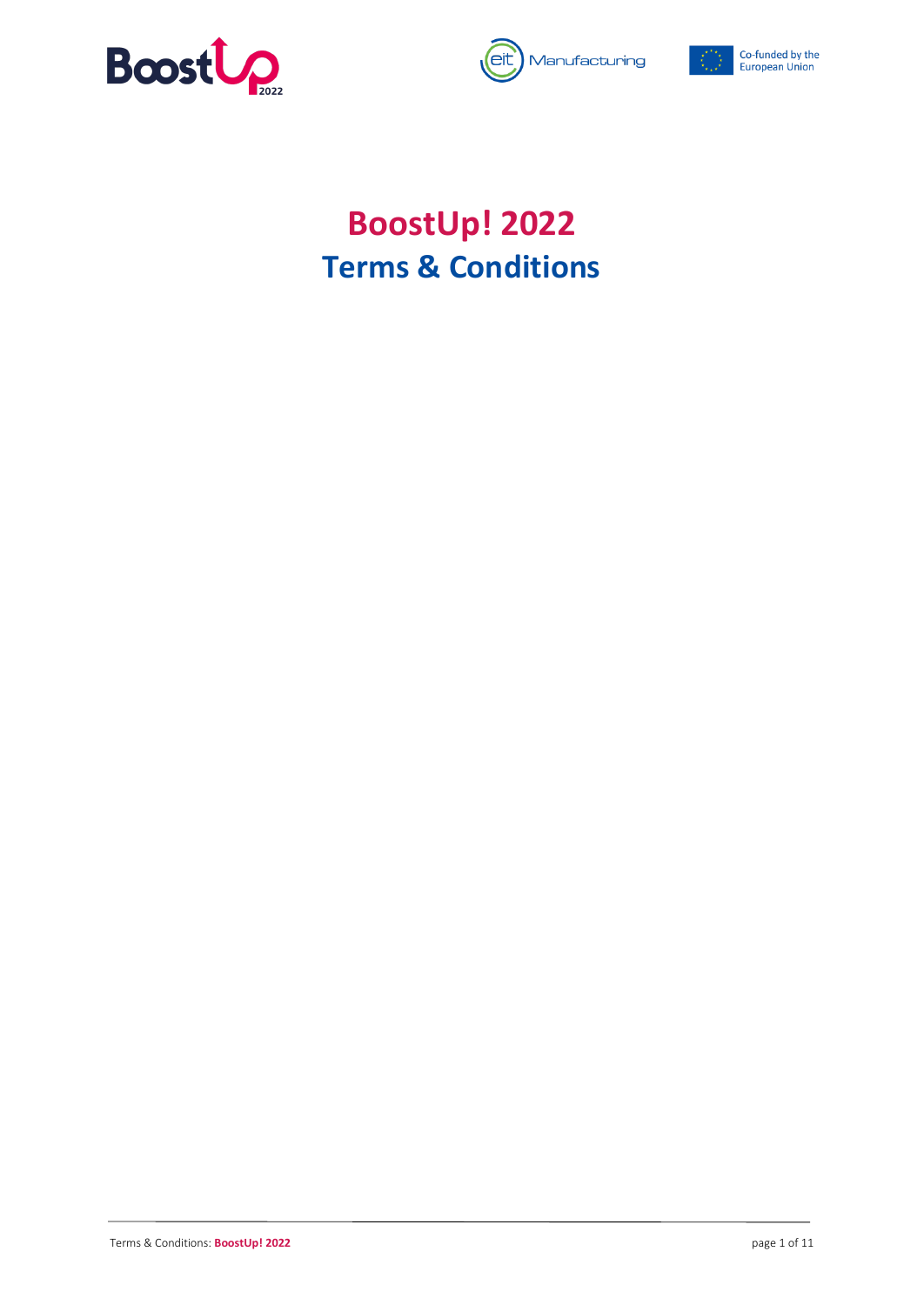





# **BoostUp! 2022 Terms & Conditions**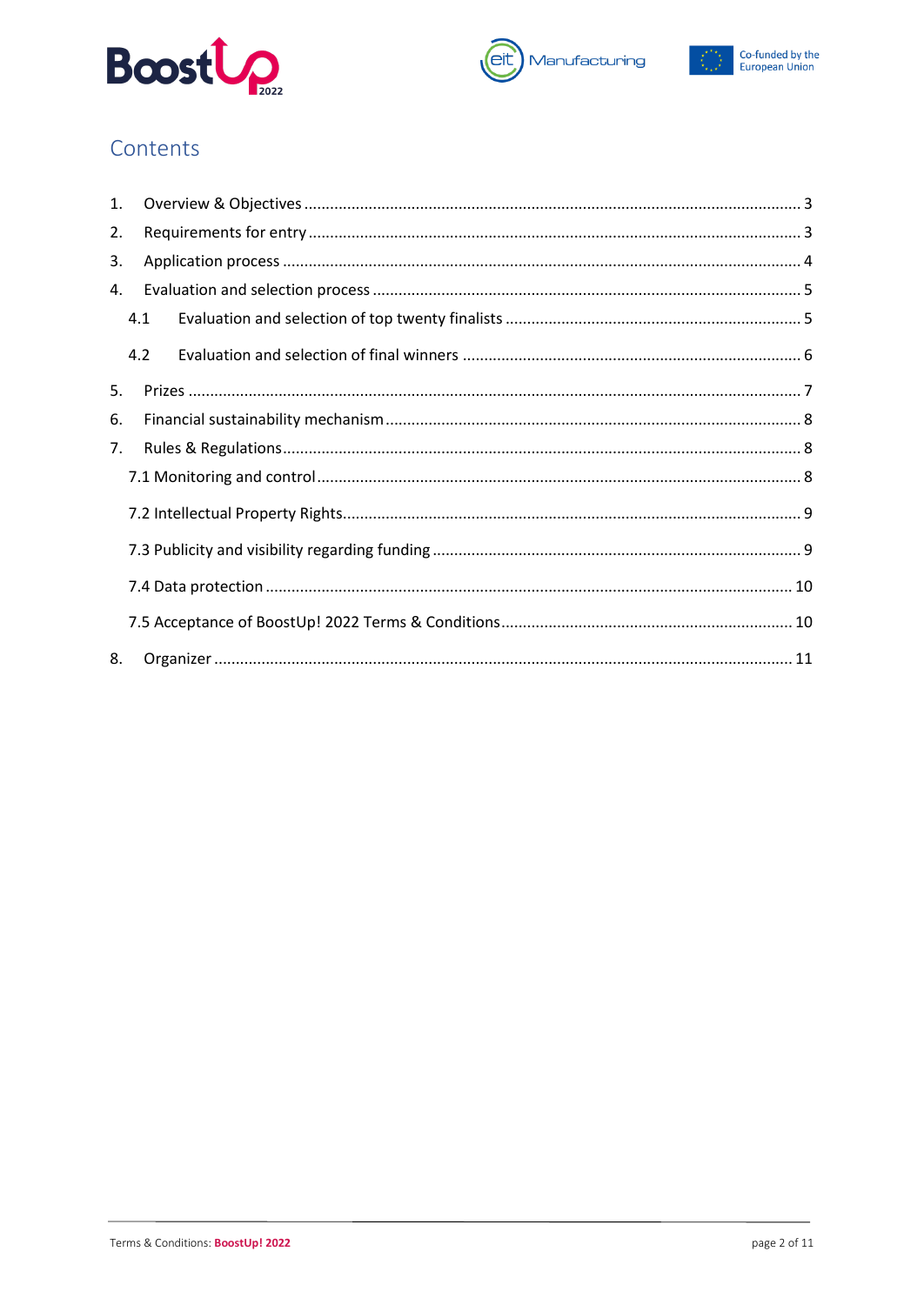





## Contents

| 1. |     |  |  |  |  |
|----|-----|--|--|--|--|
| 2. |     |  |  |  |  |
| 3. |     |  |  |  |  |
| 4. |     |  |  |  |  |
|    | 4.1 |  |  |  |  |
|    | 4.2 |  |  |  |  |
| 5. |     |  |  |  |  |
| 6. |     |  |  |  |  |
| 7. |     |  |  |  |  |
|    |     |  |  |  |  |
|    |     |  |  |  |  |
|    |     |  |  |  |  |
|    |     |  |  |  |  |
|    |     |  |  |  |  |
| 8. |     |  |  |  |  |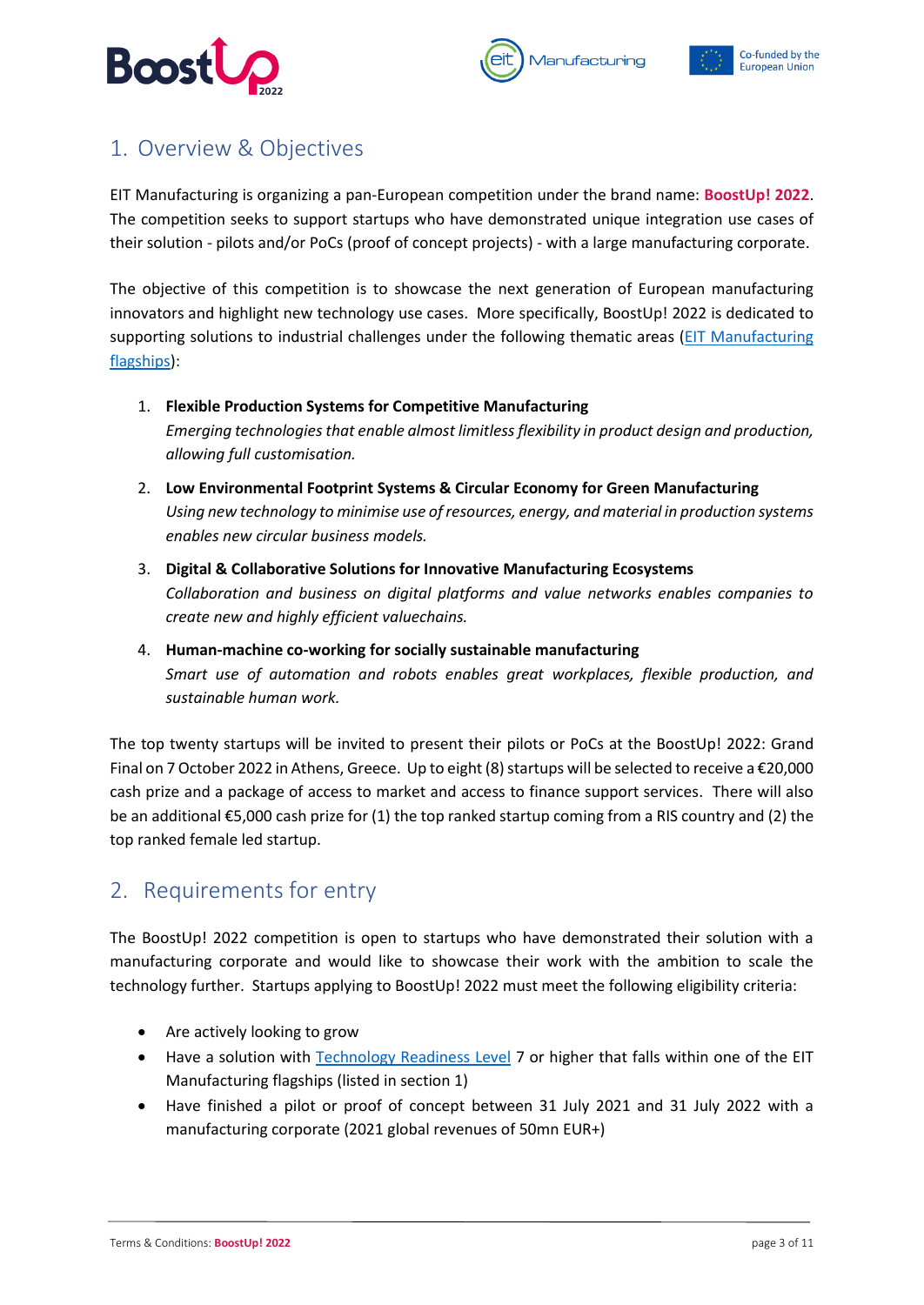





# <span id="page-2-0"></span>1. Overview & Objectives

EIT Manufacturing is organizing a pan-European competition under the brand name: **BoostUp! 2022**. The competition seeks to support startups who have demonstrated unique integration use cases of their solution - pilots and/or PoCs (proof of concept projects) - with a large manufacturing corporate.

The objective of this competition is to showcase the next generation of European manufacturing innovators and highlight new technology use cases. More specifically, BoostUp! 2022 is dedicated to supporting solutions to industrial challenges under the following thematic areas [\(EIT Manufacturing](https://www.eitmanufacturing.eu/what-we-do/focus-areas-flagships/)  [flagships\)](https://www.eitmanufacturing.eu/what-we-do/focus-areas-flagships/):

- 1. **Flexible Production Systems for Competitive Manufacturing** *Emerging technologies that enable almost limitless flexibility in product design and production, allowing full customisation.*
- 2. **Low Environmental Footprint Systems & Circular Economy for Green Manufacturing** *Using new technology to minimise use of resources, energy, and material in production systems enables new circular business models.*
- 3. **Digital & Collaborative Solutions for Innovative Manufacturing Ecosystems** *Collaboration and business on digital platforms and value networks enables companies to create new and highly efficient valuechains.*
- 4. **Human-machine co-working for socially sustainable manufacturing** *Smart use of automation and robots enables great workplaces, flexible production, and sustainable human work.*

The top twenty startups will be invited to present their pilots or PoCs at the BoostUp! 2022: Grand Final on 7 October 2022 in Athens, Greece. Up to eight (8) startups will be selected to receive a  $\epsilon$ 20,000 cash prize and a package of access to market and access to finance support services. There will also be an additional €5,000 cash prize for (1) the top ranked startup coming from a RIS country and (2) the top ranked female led startup.

### <span id="page-2-1"></span>2. Requirements for entry

The BoostUp! 2022 competition is open to startups who have demonstrated their solution with a manufacturing corporate and would like to showcase their work with the ambition to scale the technology further. Startups applying to BoostUp! 2022 must meet the following eligibility criteria:

- Are actively looking to grow
- Have a solution with **Technology Readiness Level** 7 or higher that falls within one of the EIT Manufacturing flagships (listed in section 1)
- Have finished a pilot or proof of concept between 31 July 2021 and 31 July 2022 with a manufacturing corporate (2021 global revenues of 50mn EUR+)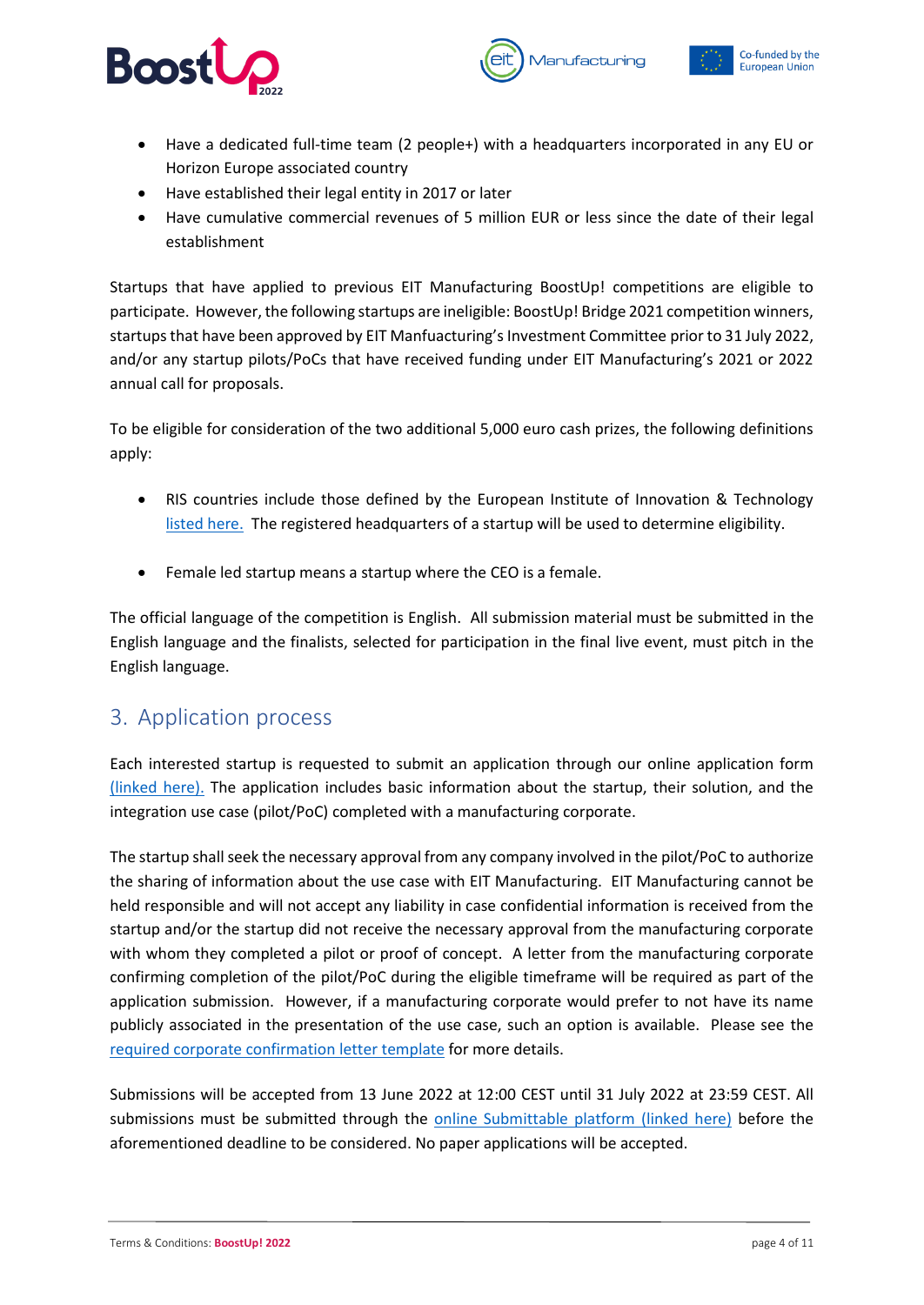





- Have a dedicated full-time team (2 people+) with a headquarters incorporated in any EU or Horizon Europe associated country
- Have established their legal entity in 2017 or later
- Have cumulative commercial revenues of 5 million EUR or less since the date of their legal establishment

Startups that have applied to previous EIT Manufacturing BoostUp! competitions are eligible to participate. However, the following startups are ineligible: BoostUp! Bridge 2021 competition winners, startups that have been approved by EIT Manfuacturing's Investment Committee prior to 31 July 2022, and/or any startup pilots/PoCs that have received funding under EIT Manufacturing's 2021 or 2022 annual call for proposals.

To be eligible for consideration of the two additional 5,000 euro cash prizes, the following definitions apply:

- RIS countries include those defined by the European Institute of Innovation & Technology [listed here.](https://eit.europa.eu/our-activities/eit-regional-innovation-scheme) The registered headquarters of a startup will be used to determine eligibility.
- Female led startup means a startup where the CEO is a female.

The official language of the competition is English. All submission material must be submitted in the English language and the finalists, selected for participation in the final live event, must pitch in the English language.

### <span id="page-3-0"></span>3. Application process

Each interested startup is requested to submit an application through our online application form [\(linked here\).](https://eitmanufacturing.submittable.com/submit/226949/boostup-2022) The application includes basic information about the startup, their solution, and the integration use case (pilot/PoC) completed with a manufacturing corporate.

The startup shall seek the necessary approval from any company involved in the pilot/PoC to authorize the sharing of information about the use case with EIT Manufacturing. EIT Manufacturing cannot be held responsible and will not accept any liability in case confidential information is received from the startup and/or the startup did not receive the necessary approval from the manufacturing corporate with whom they completed a pilot or proof of concept. A letter from the manufacturing corporate confirming completion of the pilot/PoC during the eligible timeframe will be required as part of the application submission. However, if a manufacturing corporate would prefer to not have its name publicly associated in the presentation of the use case, such an option is available. Please see the [required corporate confirmation letter](https://www.eitmanufacturing.eu/wp-content/uploads/2022/06/EITManufacturing_Corporate-Letter-of-Confirmation.docx) template for more details.

Submissions will be accepted from 13 June 2022 at 12:00 CEST until 31 July 2022 at 23:59 CEST. All submissions must be submitted through the [online Submittable platform](https://eitmanufacturing.submittable.com/submit/226949/boostup-2022) (linked here) before the aforementioned deadline to be considered. No paper applications will be accepted.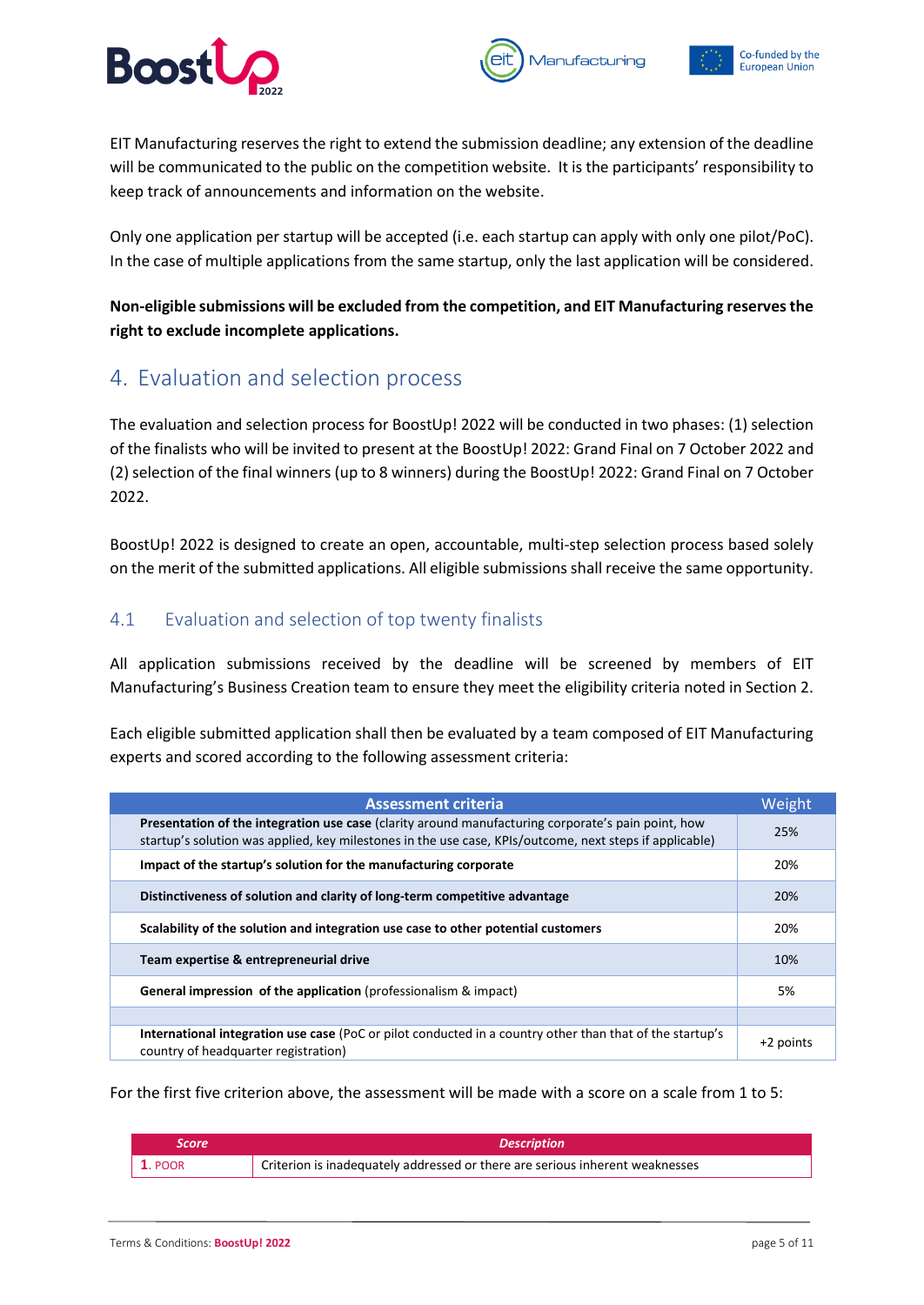

*Aanufacturing* 



EIT Manufacturing reserves the right to extend the submission deadline; any extension of the deadline will be communicated to the public on the competition website. It is the participants' responsibility to keep track of announcements and information on the website.

Only one application per startup will be accepted (i.e. each startup can apply with only one pilot/PoC). In the case of multiple applications from the same startup, only the last application will be considered.

**Non-eligible submissions will be excluded from the competition, and EIT Manufacturing reserves the right to exclude incomplete applications.** 

### <span id="page-4-0"></span>4. Evaluation and selection process

The evaluation and selection process for BoostUp! 2022 will be conducted in two phases: (1) selection of the finalists who will be invited to present at the BoostUp! 2022: Grand Final on 7 October 2022 and (2) selection of the final winners (up to 8 winners) during the BoostUp! 2022: Grand Final on 7 October 2022.

BoostUp! 2022 is designed to create an open, accountable, multi-step selection process based solely on the merit of the submitted applications. All eligible submissions shall receive the same opportunity.

### <span id="page-4-1"></span>4.1 Evaluation and selection of top twenty finalists

All application submissions received by the deadline will be screened by members of EIT Manufacturing's Business Creation team to ensure they meet the eligibility criteria noted in Section 2.

Each eligible submitted application shall then be evaluated by a team composed of EIT Manufacturing experts and scored according to the following assessment criteria:

| <b>Assessment criteria</b>                                                                                                                                                                                    | Weight    |
|---------------------------------------------------------------------------------------------------------------------------------------------------------------------------------------------------------------|-----------|
| Presentation of the integration use case (clarity around manufacturing corporate's pain point, how<br>startup's solution was applied, key milestones in the use case, KPIs/outcome, next steps if applicable) | 25%       |
| Impact of the startup's solution for the manufacturing corporate                                                                                                                                              | 20%       |
| Distinctiveness of solution and clarity of long-term competitive advantage                                                                                                                                    | 20%       |
| Scalability of the solution and integration use case to other potential customers                                                                                                                             | 20%       |
| Team expertise & entrepreneurial drive                                                                                                                                                                        | 10%       |
| General impression of the application (professionalism & impact)                                                                                                                                              | 5%        |
|                                                                                                                                                                                                               |           |
| International integration use case (PoC or pilot conducted in a country other than that of the startup's<br>country of headquarter registration)                                                              | +2 points |

For the first five criterion above, the assessment will be made with a score on a scale from 1 to 5:

| Score          | <b>Description</b>                                                           |
|----------------|------------------------------------------------------------------------------|
| <b>1. POOR</b> | Criterion is inadequately addressed or there are serious inherent weaknesses |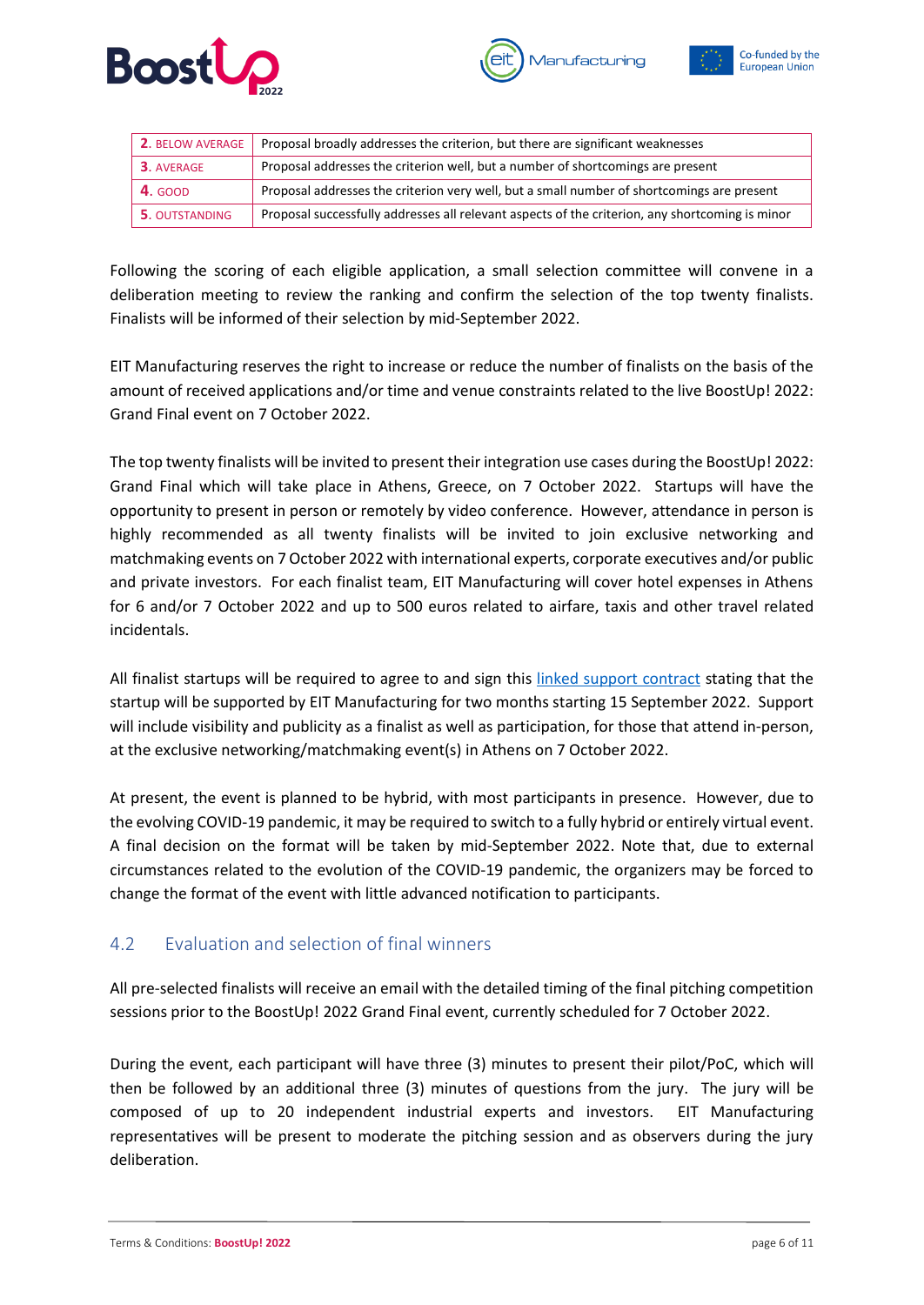





| <b>2. BELOW AVERAGE</b> | Proposal broadly addresses the criterion, but there are significant weaknesses                  |
|-------------------------|-------------------------------------------------------------------------------------------------|
| 3. AVERAGE              | Proposal addresses the criterion well, but a number of shortcomings are present                 |
| <b>4.</b> GOOD          | Proposal addresses the criterion very well, but a small number of shortcomings are present      |
| <b>5. OUTSTANDING</b>   | Proposal successfully addresses all relevant aspects of the criterion, any shortcoming is minor |

Following the scoring of each eligible application, a small selection committee will convene in a deliberation meeting to review the ranking and confirm the selection of the top twenty finalists. Finalists will be informed of their selection by mid-September 2022.

EIT Manufacturing reserves the right to increase or reduce the number of finalists on the basis of the amount of received applications and/or time and venue constraints related to the live BoostUp! 2022: Grand Final event on 7 October 2022.

The top twenty finalists will be invited to present their integration use cases during the BoostUp! 2022: Grand Final which will take place in Athens, Greece, on 7 October 2022. Startups will have the opportunity to present in person or remotely by video conference. However, attendance in person is highly recommended as all twenty finalists will be invited to join exclusive networking and matchmaking events on 7 October 2022 with international experts, corporate executives and/or public and private investors. For each finalist team, EIT Manufacturing will cover hotel expenses in Athens for 6 and/or 7 October 2022 and up to 500 euros related to airfare, taxis and other travel related incidentals.

All finalist startups will be required to agree to and sign this [linked support contract](https://www.eitmanufacturing.eu/wp-content/uploads/2022/06/BoostUp-2022_Startup-Support-Agreement.docx) stating that the startup will be supported by EIT Manufacturing for two months starting 15 September 2022. Support will include visibility and publicity as a finalist as well as participation, for those that attend in-person, at the exclusive networking/matchmaking event(s) in Athens on 7 October 2022.

At present, the event is planned to be hybrid, with most participants in presence. However, due to the evolving COVID-19 pandemic, it may be required to switch to a fully hybrid or entirely virtual event. A final decision on the format will be taken by mid-September 2022. Note that, due to external circumstances related to the evolution of the COVID-19 pandemic, the organizers may be forced to change the format of the event with little advanced notification to participants.

#### <span id="page-5-0"></span>4.2 Evaluation and selection of final winners

All pre-selected finalists will receive an email with the detailed timing of the final pitching competition sessions prior to the BoostUp! 2022 Grand Final event, currently scheduled for 7 October 2022.

During the event, each participant will have three (3) minutes to present their pilot/PoC, which will then be followed by an additional three (3) minutes of questions from the jury. The jury will be composed of up to 20 independent industrial experts and investors. EIT Manufacturing representatives will be present to moderate the pitching session and as observers during the jury deliberation.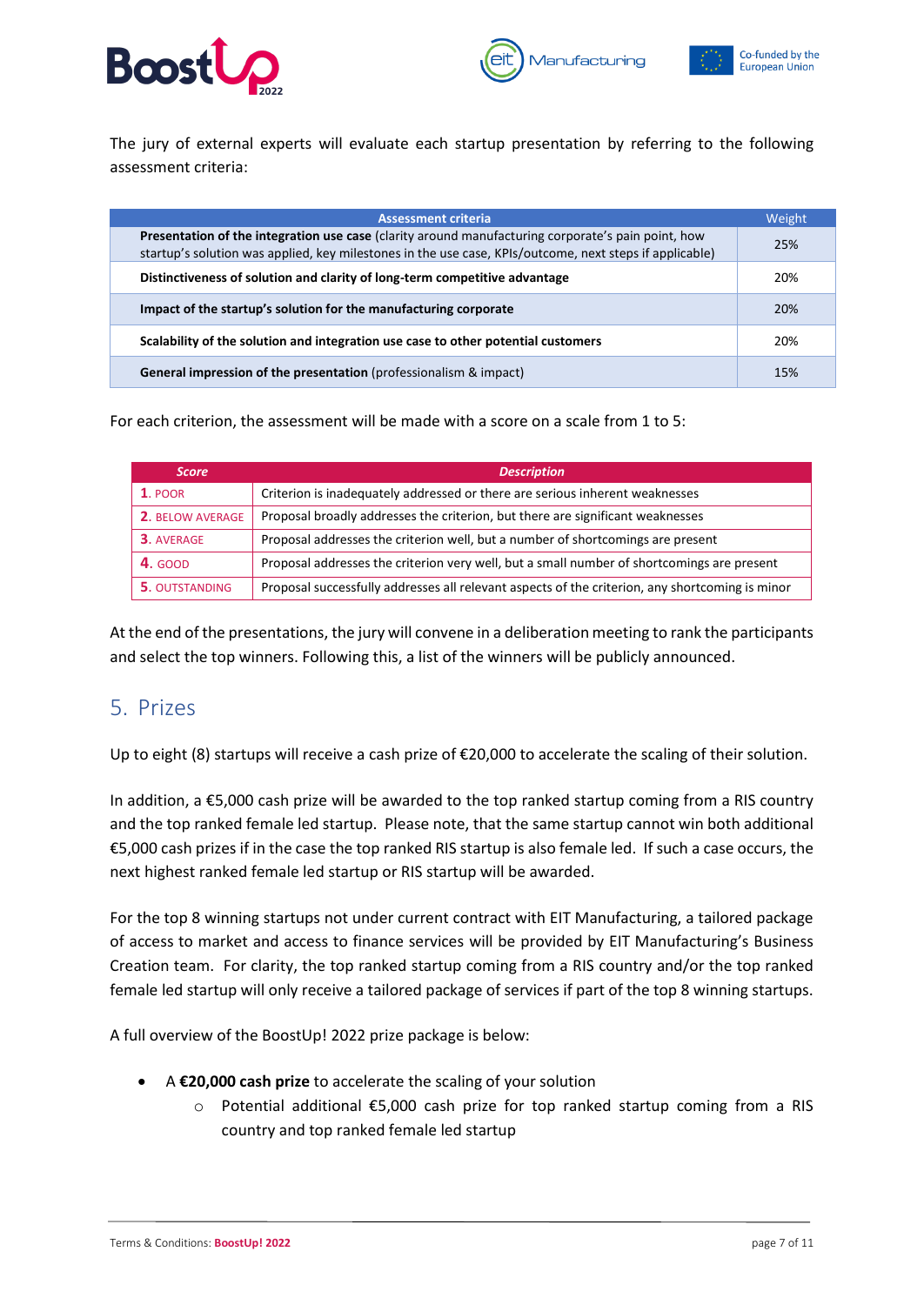





The jury of external experts will evaluate each startup presentation by referring to the following assessment criteria:

| <b>Assessment criteria</b>                                                                                                                                                                                    | Weight |
|---------------------------------------------------------------------------------------------------------------------------------------------------------------------------------------------------------------|--------|
| Presentation of the integration use case (clarity around manufacturing corporate's pain point, how<br>startup's solution was applied, key milestones in the use case, KPIs/outcome, next steps if applicable) | 25%    |
| Distinctiveness of solution and clarity of long-term competitive advantage                                                                                                                                    | 20%    |
| Impact of the startup's solution for the manufacturing corporate                                                                                                                                              | 20%    |
| Scalability of the solution and integration use case to other potential customers                                                                                                                             | 20%    |
| General impression of the presentation (professionalism & impact)                                                                                                                                             | 15%    |

For each criterion, the assessment will be made with a score on a scale from 1 to 5:

| <b>Score</b>            | <b>Description</b>                                                                              |
|-------------------------|-------------------------------------------------------------------------------------------------|
| $1.$ POOR               | Criterion is inadequately addressed or there are serious inherent weaknesses                    |
| <b>2. BELOW AVERAGE</b> | Proposal broadly addresses the criterion, but there are significant weaknesses                  |
| 3. AVERAGE              | Proposal addresses the criterion well, but a number of shortcomings are present                 |
| 4. GOOD                 | Proposal addresses the criterion very well, but a small number of shortcomings are present      |
| <b>5. OUTSTANDING</b>   | Proposal successfully addresses all relevant aspects of the criterion, any shortcoming is minor |

At the end of the presentations, the jury will convene in a deliberation meeting to rank the participants and select the top winners. Following this, a list of the winners will be publicly announced.

### <span id="page-6-0"></span>5. Prizes

Up to eight (8) startups will receive a cash prize of €20,000 to accelerate the scaling of their solution.

In addition, a €5,000 cash prize will be awarded to the top ranked startup coming from a RIS country and the top ranked female led startup. Please note, that the same startup cannot win both additional €5,000 cash prizes if in the case the top ranked RIS startup is also female led. If such a case occurs, the next highest ranked female led startup or RIS startup will be awarded.

For the top 8 winning startups not under current contract with EIT Manufacturing, a tailored package of access to market and access to finance services will be provided by EIT Manufacturing's Business Creation team. For clarity, the top ranked startup coming from a RIS country and/or the top ranked female led startup will only receive a tailored package of services if part of the top 8 winning startups.

A full overview of the BoostUp! 2022 prize package is below:

- A **€20,000 cash prize** to accelerate the scaling of your solution
	- o Potential additional €5,000 cash prize for top ranked startup coming from a RIS country and top ranked female led startup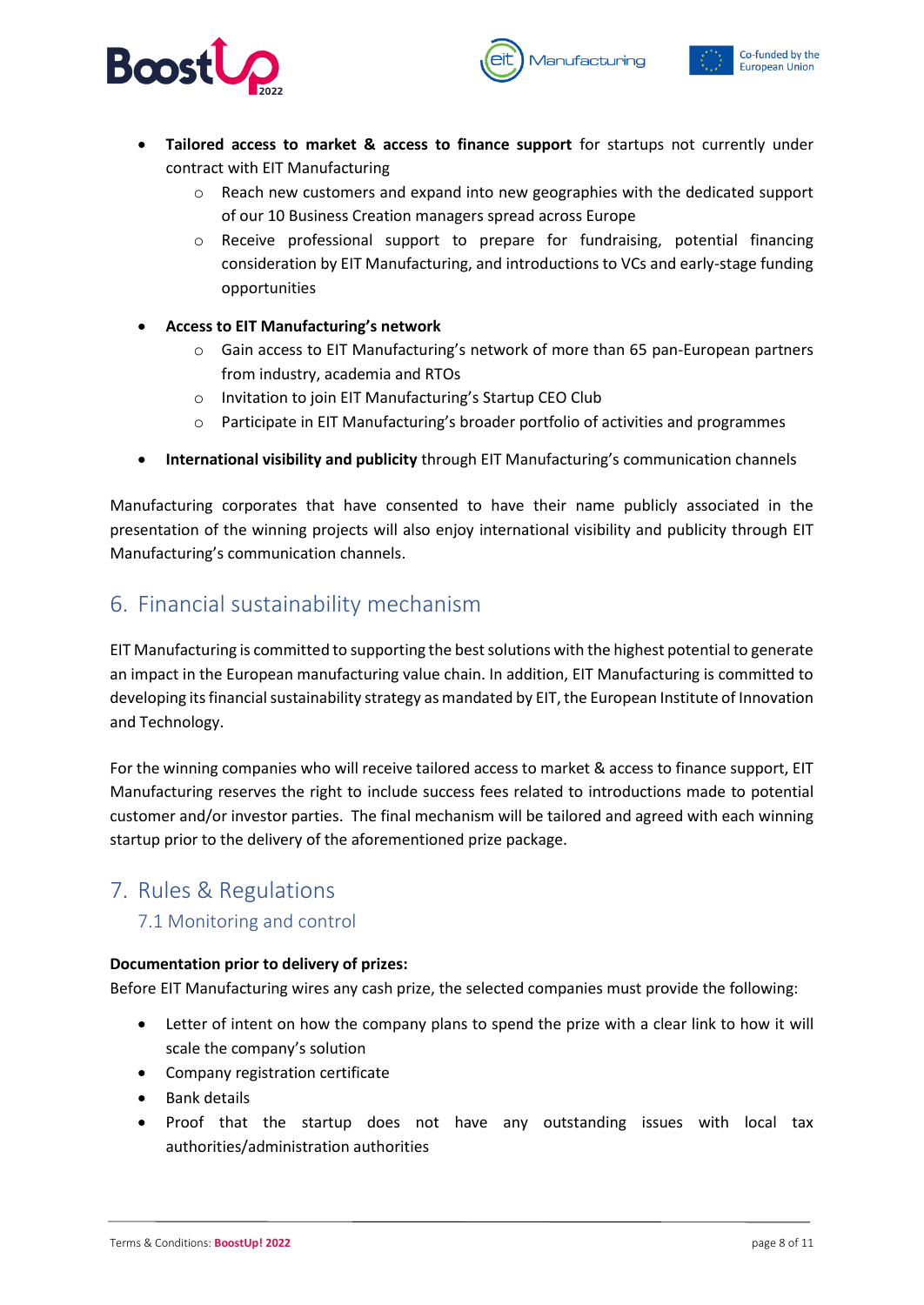





- **Tailored access to market & access to finance support** for startups not currently under contract with EIT Manufacturing
	- o Reach new customers and expand into new geographies with the dedicated support of our 10 Business Creation managers spread across Europe
	- o Receive professional support to prepare for fundraising, potential financing consideration by EIT Manufacturing, and introductions to VCs and early-stage funding opportunities
- **Access to EIT Manufacturing's network**
	- o Gain access to EIT Manufacturing's network of more than 65 pan-European partners from industry, academia and RTOs
	- o Invitation to join EIT Manufacturing's Startup CEO Club
	- $\circ$  Participate in EIT Manufacturing's broader portfolio of activities and programmes
- **International visibility and publicity** through EIT Manufacturing's communication channels

Manufacturing corporates that have consented to have their name publicly associated in the presentation of the winning projects will also enjoy international visibility and publicity through EIT Manufacturing's communication channels.

### <span id="page-7-0"></span>6. Financial sustainability mechanism

EIT Manufacturing is committed to supporting the best solutions with the highest potential to generate an impact in the European manufacturing value chain. In addition, EIT Manufacturing is committed to developing its financial sustainability strategy as mandated by EIT, the European Institute of Innovation and Technology.

For the winning companies who will receive tailored access to market & access to finance support, EIT Manufacturing reserves the right to include success fees related to introductions made to potential customer and/or investor parties. The final mechanism will be tailored and agreed with each winning startup prior to the delivery of the aforementioned prize package.

### <span id="page-7-2"></span><span id="page-7-1"></span>7. Rules & Regulations

#### 7.1 Monitoring and control

#### **Documentation prior to delivery of prizes:**

Before EIT Manufacturing wires any cash prize, the selected companies must provide the following:

- Letter of intent on how the company plans to spend the prize with a clear link to how it will scale the company's solution
- Company registration certificate
- Bank details
- Proof that the startup does not have any outstanding issues with local tax authorities/administration authorities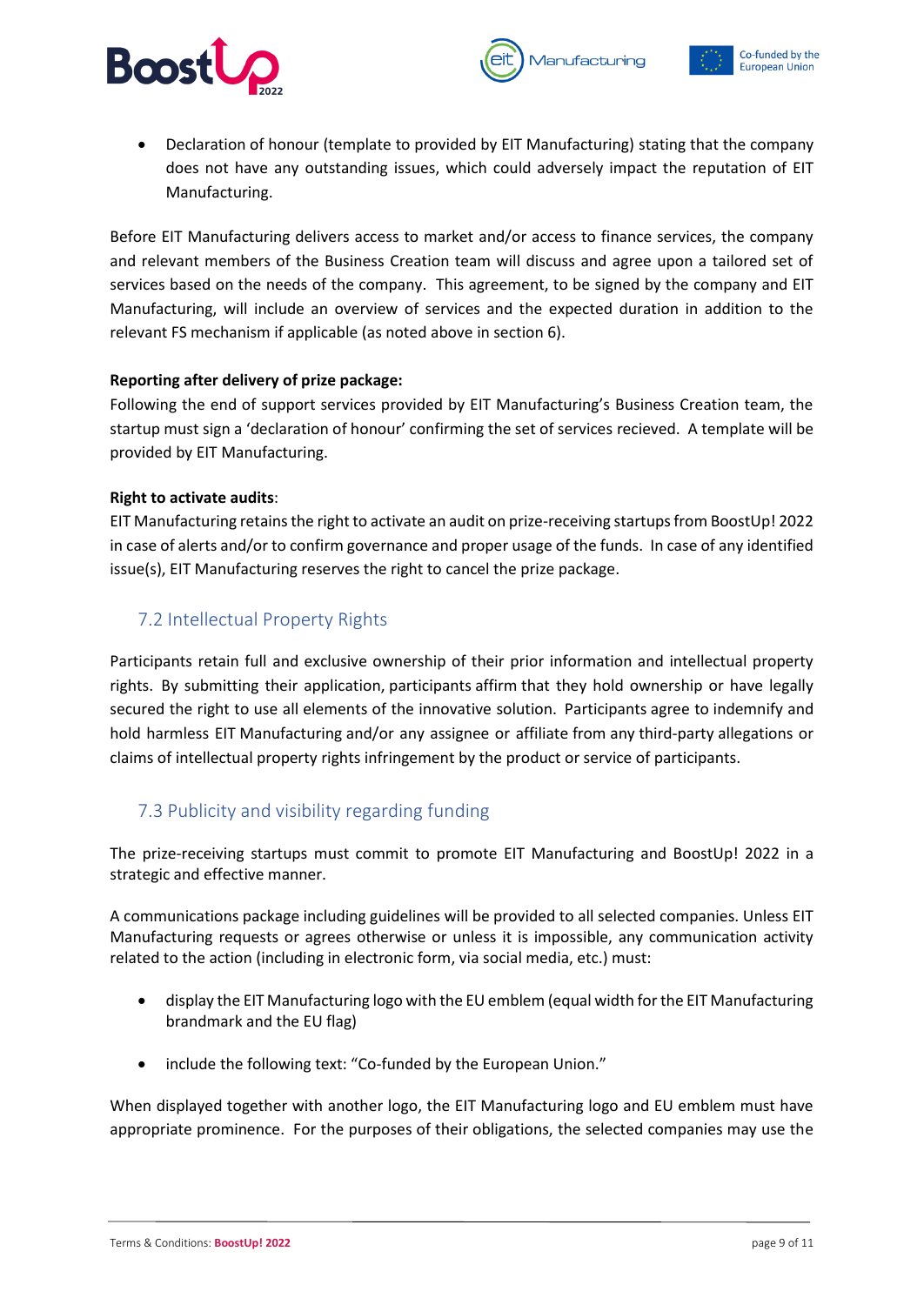

• Declaration of honour (template to provided by EIT Manufacturing) stating that the company does not have any outstanding issues, which could adversely impact the reputation of EIT Manufacturing.

Manufacturing

Before EIT Manufacturing delivers access to market and/or access to finance services, the company and relevant members of the Business Creation team will discuss and agree upon a tailored set of services based on the needs of the company. This agreement, to be signed by the company and EIT Manufacturing, will include an overview of services and the expected duration in addition to the relevant FS mechanism if applicable (as noted above in section 6).

#### **Reporting after delivery of prize package:**

Following the end of support services provided by EIT Manufacturing's Business Creation team, the startup must sign a 'declaration of honour' confirming the set of services recieved. A template will be provided by EIT Manufacturing.

#### **Right to activate audits**:

EIT Manufacturing retains the right to activate an audit on prize-receiving startups from BoostUp! 2022 in case of alerts and/or to confirm governance and proper usage of the funds. In case of any identified issue(s), EIT Manufacturing reserves the right to cancel the prize package.

#### <span id="page-8-0"></span>7.2 Intellectual Property Rights

Participants retain full and exclusive ownership of their prior information and intellectual property rights. By submitting their application, participants affirm that they hold ownership or have legally secured the right to use all elements of the innovative solution. Participants agree to indemnify and hold harmless EIT Manufacturing and/or any assignee or affiliate from any third-party allegations or claims of intellectual property rights infringement by the product or service of participants.

#### <span id="page-8-1"></span>7.3 Publicity and visibility regarding funding

The prize-receiving startups must commit to promote EIT Manufacturing and BoostUp! 2022 in a strategic and effective manner.

A communications package including guidelines will be provided to all selected companies. Unless EIT Manufacturing requests or agrees otherwise or unless it is impossible, any communication activity related to the action (including in electronic form, via social media, etc.) must:

- display the EIT Manufacturing logo with the EU emblem (equal width for the EIT Manufacturing brandmark and the EU flag)
- include the following text: "Co-funded by the European Union."

When displayed together with another logo, the EIT Manufacturing logo and EU emblem must have appropriate prominence. For the purposes of their obligations, the selected companies may use the

Co-funded by the

**European Union**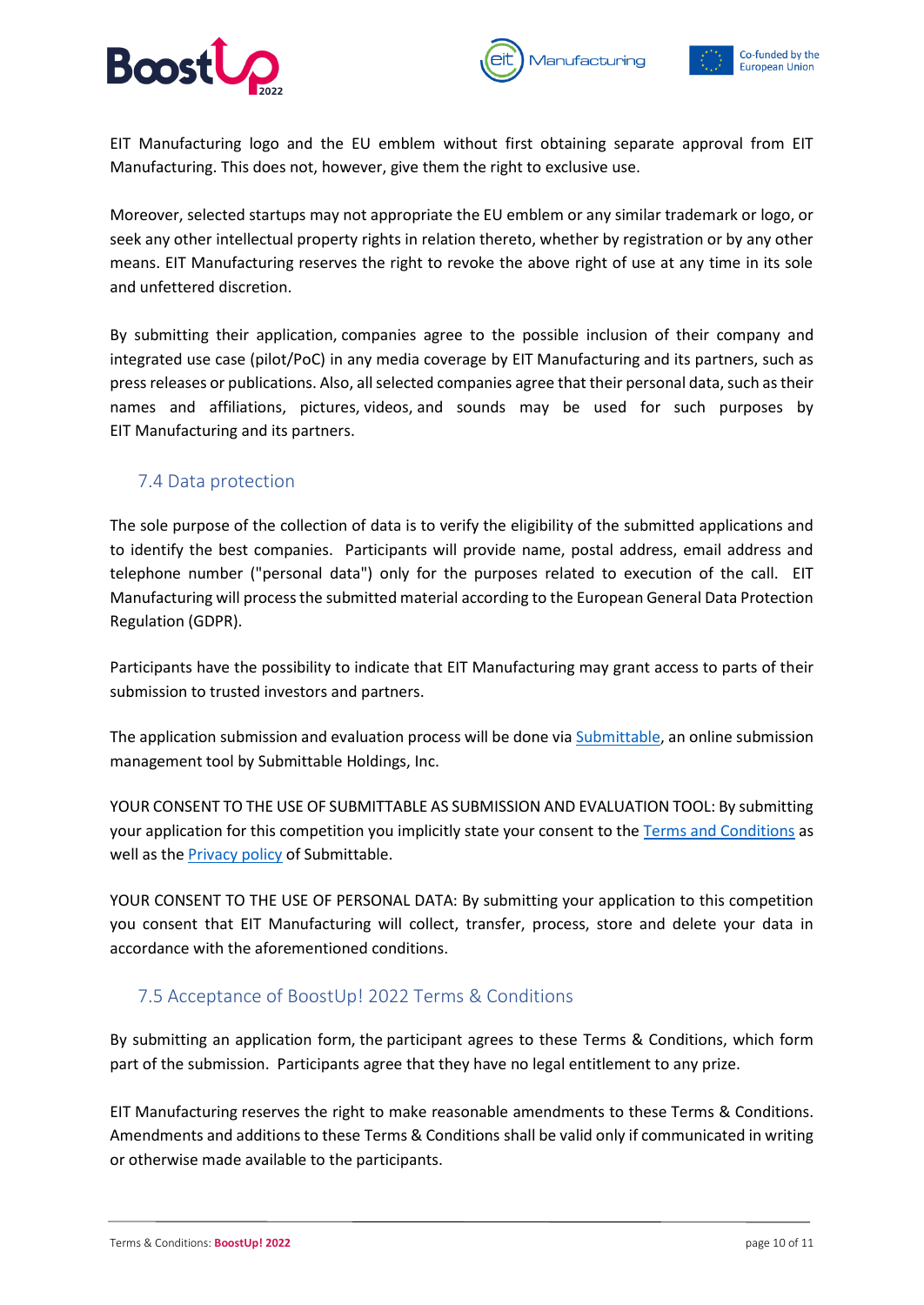

EIT Manufacturing logo and the EU emblem without first obtaining separate approval from EIT

Manufacturing

Moreover, selected startups may not appropriate the EU emblem or any similar trademark or logo, or seek any other intellectual property rights in relation thereto, whether by registration or by any other means. EIT Manufacturing reserves the right to revoke the above right of use at any time in its sole and unfettered discretion.

Manufacturing. This does not, however, give them the right to exclusive use.

By submitting their application, companies agree to the possible inclusion of their company and integrated use case (pilot/PoC) in any media coverage by EIT Manufacturing and its partners, such as press releases or publications. Also, all selected companies agree that their personal data, such as their names and affiliations, pictures, videos, and sounds may be used for such purposes by EIT Manufacturing and its partners.

#### <span id="page-9-0"></span>7.4 Data protection

The sole purpose of the collection of data is to verify the eligibility of the submitted applications and to identify the best companies. Participants will provide name, postal address, email address and telephone number ("personal data") only for the purposes related to execution of the call. EIT Manufacturing will process the submitted material according to the European General Data Protection Regulation (GDPR).

Participants have the possibility to indicate that EIT Manufacturing may grant access to parts of their submission to trusted investors and partners.

The application submission and evaluation process will be done via [Submittable,](https://www.submittable.com/) an online submission management tool by Submittable Holdings, Inc.

YOUR CONSENT TO THE USE OF SUBMITTABLE AS SUBMISSION AND EVALUATION TOOL: By submitting your application for this competition you implicitly state your consent to th[e Terms and Conditions](https://www.submittable.com/terms-and-conditions/) as well as the [Privacy policy](https://www.submittable.com/privacy/) of Submittable.

YOUR CONSENT TO THE USE OF PERSONAL DATA: By submitting your application to this competition you consent that EIT Manufacturing will collect, transfer, process, store and delete your data in accordance with the aforementioned conditions.

#### <span id="page-9-1"></span>7.5 Acceptance of BoostUp! 2022 Terms & Conditions

By submitting an application form, the participant agrees to these Terms & Conditions, which form part of the submission. Participants agree that they have no legal entitlement to any prize.

EIT Manufacturing reserves the right to make reasonable amendments to these Terms & Conditions. Amendments and additions to these Terms & Conditions shall be valid only if communicated in writing or otherwise made available to the participants.

Co-funded by the

**European Union**